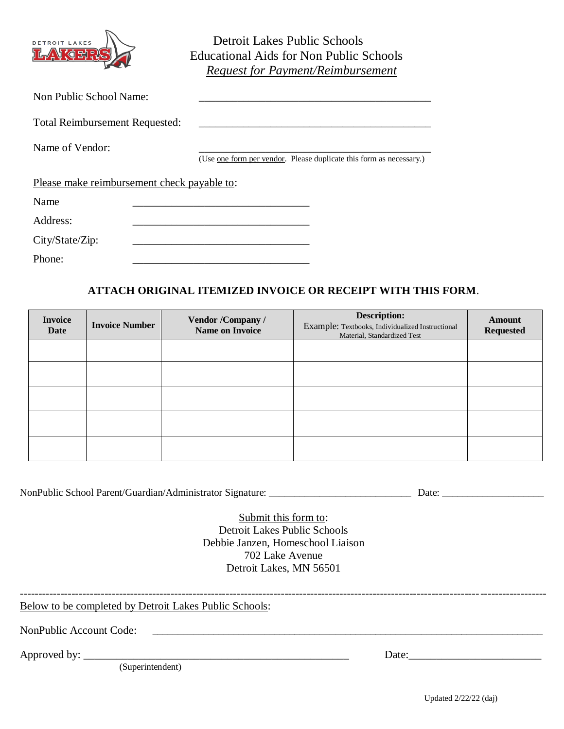

 Detroit Lakes Public Schools Educational Aids for Non Public Schools *Request for Payment/Reimbursement*

| Non Public School Name:                     |                                                                             |
|---------------------------------------------|-----------------------------------------------------------------------------|
|                                             |                                                                             |
| <b>Total Reimbursement Requested:</b>       |                                                                             |
| Name of Vendor:                             |                                                                             |
|                                             | (Use <u>one form per vendor</u> . Please duplicate this form as necessary.) |
| Please make reimbursement check payable to: |                                                                             |
| Name                                        |                                                                             |
| Address:                                    |                                                                             |
| City/State/Zip:                             |                                                                             |
| Phone:                                      |                                                                             |

## **ATTACH ORIGINAL ITEMIZED INVOICE OR RECEIPT WITH THIS FORM**.

| <b>Invoice</b><br>Date | <b>Invoice Number</b> | Vendor /Company /<br><b>Name on Invoice</b> | <b>Description:</b><br>Example: Textbooks, Individualized Instructional<br>Material, Standardized Test | Amount<br><b>Requested</b> |
|------------------------|-----------------------|---------------------------------------------|--------------------------------------------------------------------------------------------------------|----------------------------|
|                        |                       |                                             |                                                                                                        |                            |
|                        |                       |                                             |                                                                                                        |                            |
|                        |                       |                                             |                                                                                                        |                            |
|                        |                       |                                             |                                                                                                        |                            |
|                        |                       |                                             |                                                                                                        |                            |

NonPublic School Parent/Guardian/Administrator Signature: \_\_\_\_\_\_\_\_\_\_\_\_\_\_\_\_\_\_\_\_\_\_\_\_\_\_\_\_ Date: \_\_\_\_\_\_\_\_\_\_\_\_\_\_\_\_\_\_\_\_

Submit this form to: Detroit Lakes Public Schools Debbie Janzen, Homeschool Liaison 702 Lake Avenue Detroit Lakes, MN 56501

-----------------------------------------------------------------------------------------------------------------------------------------------

Below to be completed by Detroit Lakes Public Schools:

NonPublic Account Code:

Approved by: \_\_\_\_\_\_\_\_\_\_\_\_\_\_\_\_\_\_\_\_\_\_\_\_\_\_\_\_\_\_\_\_\_\_\_\_\_\_\_\_\_\_\_\_\_\_\_\_ Date:\_\_\_\_\_\_\_\_\_\_\_\_\_\_\_\_\_\_\_\_\_\_\_\_

(Superintendent)

Updated 2/22/22 (daj)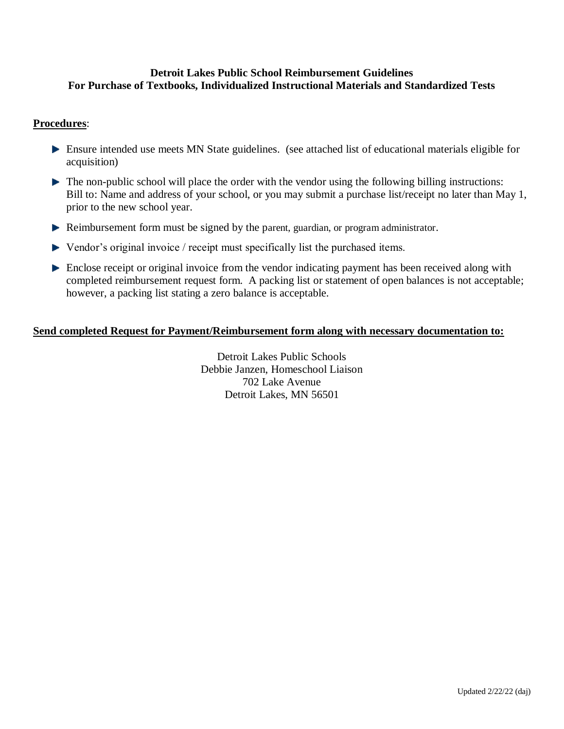## **Detroit Lakes Public School Reimbursement Guidelines For Purchase of Textbooks, Individualized Instructional Materials and Standardized Tests**

## **Procedures**:

- Ensure intended use meets MN State guidelines. (see attached list of educational materials eligible for acquisition)
- The non-public school will place the order with the vendor using the following billing instructions: Bill to: Name and address of your school, or you may submit a purchase list/receipt no later than May 1, prior to the new school year.
- Reimbursement form must be signed by the parent, guardian, or program administrator.
- ▶ Vendor's original invoice / receipt must specifically list the purchased items.
- **Enclose receipt or original invoice from the vendor indicating payment has been received along with** completed reimbursement request form. A packing list or statement of open balances is not acceptable; however, a packing list stating a zero balance is acceptable.

## **Send completed Request for Payment/Reimbursement form along with necessary documentation to:**

Detroit Lakes Public Schools Debbie Janzen, Homeschool Liaison 702 Lake Avenue Detroit Lakes, MN 56501